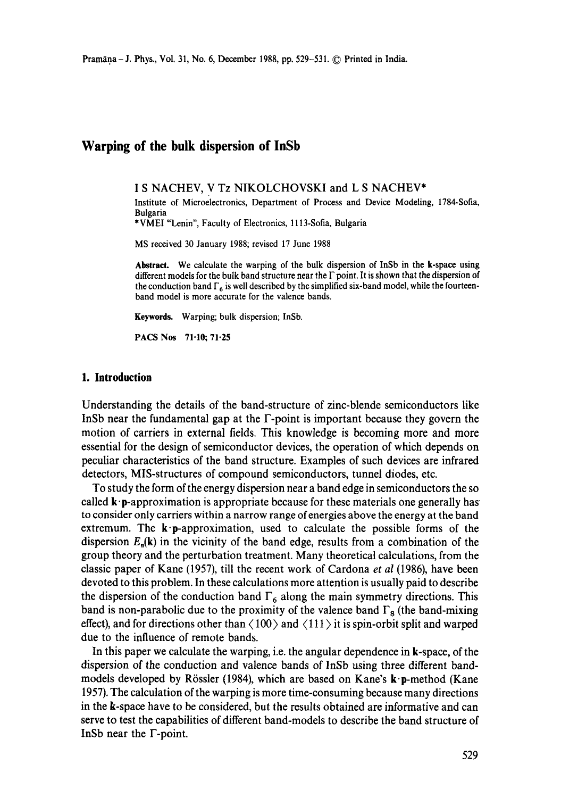# **Warping of the bulk dispersion of lnSb**

#### I S NACHEV, V Tz NIKOLCHOVSKI and L S NACHEV\*

Institute of Microelectronics, Department of Process and Device Modeling, 1784-Sofia, Bulgaria

\*VMEI "Lenin", Faculty of Electronics, 1113-Sofia, Bulgaria

MS received 30 January 1988; revised 17 June 1988

**Abstract.** We calculate the warping of the bulk dispersion of InSb in the k-space using different models for the bulk band structure near the  $\Gamma$  point. It is shown that the dispersion of the conduction band  $\Gamma_6$  is well described by the simplified six-band model, while the fourteenband model is more accurate for the valence bands.

**Keywords.** Warping; bulk dispersion; InSb.

PACS Nos 71.10; 71.25

#### **1. Introduction**

Understanding the details of the band-structure of zinc-blende semiconductors like InSb near the fundamental gap at the  $\Gamma$ -point is important because they govern the motion of carriers in external fields. This knowledge is becoming more and more essential for the design of semiconductor devices, the operation of which depends on peculiar characteristics of the band structure. Examples of such devices are infrared detectors, MIS-structures of compound semiconductors, tunnel diodes, etc.

To study the form of the energy dispersion near a band edge in semiconductors the so called  $\mathbf{k} \cdot \mathbf{p}$ -approximation is appropriate because for these materials one generally has to consider only carriers within a narrow range of energies above the energy at the band extremum. The  $\mathbf{k} \cdot \mathbf{p}$ -approximation, used to calculate the possible forms of the dispersion  $E_n(\mathbf{k})$  in the vicinity of the band edge, results from a combination of the group theory and the perturbation treatment. Many theoretical calculations, from the classic paper of Kane (1957), till the recent work of Cardona *et al* (1986), have been devoted to this problem. In these calculations more attention is usually paid to describe the dispersion of the conduction band  $\Gamma_6$  along the main symmetry directions. This band is non-parabolic due to the proximity of the valence band  $\Gamma_8$  (the band-mixing effect), and for directions other than  $\langle 100 \rangle$  and  $\langle 111 \rangle$  it is spin-orbit split and warped due to the influence of remote bands.

In this paper we calculate the warping, i.e. the angular dependence in k-space, of the dispersion of the conduction and valence bands of InSb using three different bandmodels developed by Rössler (1984), which are based on Kane's  $k \cdot p$ -method (Kane 1957). The calculation of the warping is more time-consuming because many directions in the k-space have to be considered, but the results obtained are informative and can serve to test the capabilities of different band-models to describe the band structure of InSb near the F-point.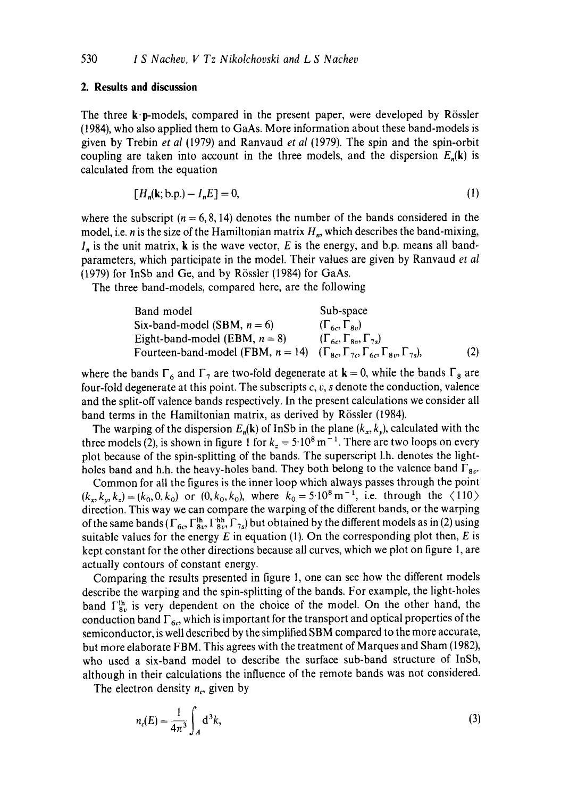## **2. Results and discussion**

The three k p-models, compared in the present paper, were developed by Rössler (1984), who also applied them to GaAs. More information about these band-models is given by Trebin *et al* (1979) and Ranvaud *et al* (1979). The spin and the spin-orbit coupling are taken into account in the three models, and the dispersion  $E_n(\mathbf{k})$  is calculated from the equation

$$
[H_n(\mathbf{k}; \mathbf{b} \cdot \mathbf{p}) - I_n E] = 0,\tag{1}
$$

where the subscript ( $n = 6, 8, 14$ ) denotes the number of the bands considered in the model, i.e. *n* is the size of the Hamiltonian matrix  $H_n$ , which describes the band-mixing,  $I_n$  is the unit matrix, k is the wave vector, E is the energy, and b.p. means all bandparameters, which participate in the model. Their values are given by Ranvaud *et al*  (1979) for InSb and Ge, and by Rössler (1984) for GaAs.

The three band-models, compared here, are the following

| Band model                                                                                                 | Sub-space                                 |     |
|------------------------------------------------------------------------------------------------------------|-------------------------------------------|-----|
| Six-band-model (SBM, $n = 6$ )                                                                             | $(\Gamma_{6c}, \Gamma_{8a})$              |     |
| Eight-band-model (EBM, $n = 8$ )                                                                           | $(\Gamma_{6c}, \Gamma_{8v}, \Gamma_{7s})$ |     |
| Fourteen-band-model (FBM, $n = 14$ ) $(\Gamma_{8c}, \Gamma_{7c}, \Gamma_{6c}, \Gamma_{8v}, \Gamma_{7s})$ , |                                           | (2) |

where the bands  $\Gamma_6$  and  $\Gamma_7$  are two-fold degenerate at  $k = 0$ , while the bands  $\Gamma_8$  are four-fold degenerate at this point. The subscripts  $c, v, s$  denote the conduction, valence and the split-off valence bands respectively. In the present calculations we consider all band terms in the Hamiltonian matrix, as derived by Rössler (1984).

The warping of the dispersion  $E_n(\mathbf{k})$  of InSb in the plane  $(k_x, k_y)$ , calculated with the three models (2), is shown in figure 1 for  $k_z = 5.10^8$  m<sup>-1</sup>. There are two loops on every plot because of the spin-splitting of the bands. The superscript 1.h. denotes the lightholes band and h.h. the heavy-holes band. They both belong to the valence band  $\Gamma_{8v}$ .

Common for all the figures is the inner loop which always passes through the point  $(k_x, k_y, k_z) = (k_0, 0, k_0)$  or  $(0, k_0, k_0)$ , where  $k_0 = 5.10^8$  m<sup>-1</sup>, i.e. through the  $\langle 110 \rangle$ direction. This way we can compare the warping of the different bands, or the warping of the same bands ( $\Gamma_{6c}$ ,  $\Gamma_{8v}^{lh}$ ,  $\Gamma_{7s}^{hh}$ ) but obtained by the different models as in (2) using suitable values for the energy  $E$  in equation (1). On the corresponding plot then,  $E$  is kept constant for the other directions because all curves, which we plot on figure 1, are actually contours of constant energy.

Comparing the results presented in figure 1, one can see how the different models describe the warping and the spin-splitting of the bands. For example, the light-holes band  $\Gamma_{8v}^{th}$  is very dependent on the choice of the model. On the other hand, the conduction band  $\Gamma_{6c}$ , which is important for the transport and optical properties of the semiconductor, is well described by the simplified SBM compared to the more accurate, but more elaborate FBM. This agrees with the treatment of Marques and Sham (1982), who used a six-band model to describe the surface sub-band structure of InSb, although in their calculations the influence of the remote bands was not considered.

The electron density  $n_c$ , given by

$$
n_c(E) = \frac{1}{4\pi^3} \int_A d^3k,
$$
 (3)